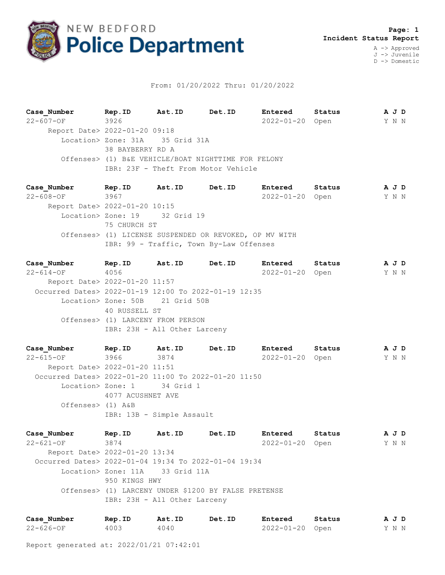

## From: 01/20/2022 Thru: 01/20/2022

**Case\_Number Rep.ID Ast.ID Det.ID Entered Status A J D** 22-607-OF 3926 2022-01-20 Open Y N N Report Date> 2022-01-20 09:18 Location> Zone: 31A 35 Grid 31A 38 BAYBERRY RD A Offenses> (1) B&E VEHICLE/BOAT NIGHTTIME FOR FELONY IBR: 23F - Theft From Motor Vehicle

**Case\_Number Rep.ID Ast.ID Det.ID Entered Status A J D** 22-608-OF 3967 2022-01-20 Open Y N N Report Date> 2022-01-20 10:15 Location> Zone: 19 32 Grid 19 75 CHURCH ST Offenses> (1) LICENSE SUSPENDED OR REVOKED, OP MV WITH IBR: 99 - Traffic, Town By-Law Offenses

**Case\_Number Rep.ID Ast.ID Det.ID Entered Status A J D** 22-614-OF 4056 2022-01-20 Open Y N N Report Date> 2022-01-20 11:57 Occurred Dates> 2022-01-19 12:00 To 2022-01-19 12:35 Location> Zone: 50B 21 Grid 50B 40 RUSSELL ST Offenses> (1) LARCENY FROM PERSON IBR: 23H - All Other Larceny

**Case\_Number Rep.ID Ast.ID Det.ID Entered Status A J D** 22-615-OF 3966 3874 2022-01-20 Open Y N N Report Date> 2022-01-20 11:51 Occurred Dates> 2022-01-20 11:00 To 2022-01-20 11:50 Location> Zone: 1 34 Grid 1 4077 ACUSHNET AVE Offenses> (1) A&B IBR: 13B - Simple Assault

**Case\_Number Rep.ID Ast.ID Det.ID Entered Status A J D** 22-621-OF 3874 2022-01-20 Open Y N N Report Date> 2022-01-20 13:34 Occurred Dates> 2022-01-04 19:34 To 2022-01-04 19:34 Location> Zone: 11A 33 Grid 11A 950 KINGS HWY Offenses> (1) LARCENY UNDER \$1200 BY FALSE PRETENSE IBR: 23H - All Other Larceny

| Case Number | Rep.ID | Ast.ID | Det.ID | Entered         | Status | AJD   |  |  |
|-------------|--------|--------|--------|-----------------|--------|-------|--|--|
| 22-626-OF   | 4003   | 4040   |        | 2022-01-20 Open |        | Y N N |  |  |